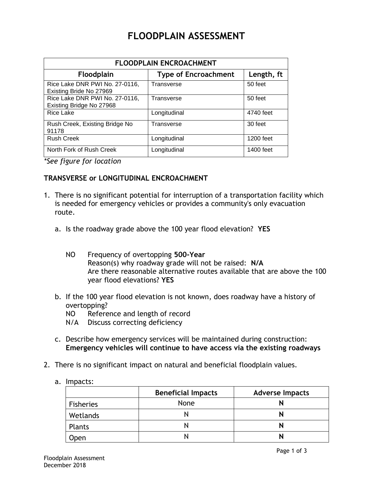## **FLOODPLAIN ASSESSMENT**

| <b>FLOODPLAIN ENCROACHMENT</b>                             |                             |            |  |  |
|------------------------------------------------------------|-----------------------------|------------|--|--|
| Floodplain                                                 | <b>Type of Encroachment</b> | Length, ft |  |  |
| Rice Lake DNR PWI No. 27-0116,<br>Existing Bride No 27969  | Transverse                  | 50 feet    |  |  |
| Rice Lake DNR PWI No. 27-0116,<br>Existing Bridge No 27968 | Transverse                  | 50 feet    |  |  |
| <b>Rice Lake</b>                                           | Longitudinal                | 4740 feet  |  |  |
| Rush Creek, Existing Bridge No<br>91178                    | Transverse                  | 30 feet    |  |  |
| <b>Rush Creek</b>                                          | Longitudinal                | 1200 feet  |  |  |
| North Fork of Rush Creek                                   | Longitudinal                | 1400 feet  |  |  |

*\*See figure for location*

## **TRANSVERSE or LONGITUDINAL ENCROACHMENT**

- 1. There is no significant potential for interruption of a transportation facility which is needed for emergency vehicles or provides a community's only evacuation route.
	- a. Is the roadway grade above the 100 year flood elevation? **YES**
		- NO Frequency of overtopping **500-Year** Reason(s) why roadway grade will not be raised: **N/A** Are there reasonable alternative routes available that are above the 100 year flood elevations? **YES**
	- b. If the 100 year flood elevation is not known, does roadway have a history of overtopping?
		- NO Reference and length of record
		- N/A Discuss correcting deficiency
	- c. Describe how emergency services will be maintained during construction: **Emergency vehicles will continue to have access via the existing roadways**
- 2. There is no significant impact on natural and beneficial floodplain values.
	- a. Impacts:

|                  | <b>Beneficial Impacts</b> | <b>Adverse Impacts</b> |
|------------------|---------------------------|------------------------|
| <b>Fisheries</b> | None                      |                        |
| Wetlands         |                           |                        |
| Plants           |                           |                        |
| )pen             |                           |                        |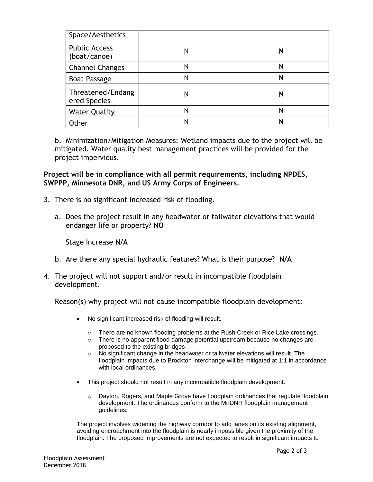| Space/Aesthetics                     |   |  |
|--------------------------------------|---|--|
| <b>Public Access</b><br>(boat/canoe) | Ν |  |
| <b>Channel Changes</b>               | Ν |  |
| <b>Boat Passage</b>                  | Ν |  |
| Threatened/Endang<br>ered Species    | Ν |  |
| <b>Water Quality</b>                 | Ν |  |
| Other                                | Ν |  |

b. Minimization/Mitigation Measures: Wetland impacts due to the project will be mitigated. Water quality best management practices will be provided for the project impervious.

**Project will be in compliance with all permit requirements, including NPDES, SWPPP, Minnesota DNR, and US Army Corps of Engineers.**

- 3. There is no significant increased risk of flooding.
	- a. Does the project result in any headwater or tailwater elevations that would endanger life or property? **NO**

Stage Increase **N/A**

- b. Are there any special hydraulic features? What is their purpose? **N/A**
- 4. The project will not support and/or result in incompatible floodplain development.

Reason(s) why project will not cause incompatible floodplain development:

- No significant increased risk of flooding will result.
	- o There are no known flooding problems at the Rush Creek or Rice Lake crossings.
	- o There is no apparent flood damage potential upstream because no changes are proposed to the existing bridges
	- $\circ$  No significant change in the headwater or tailwater elevations will result. The floodplain impacts due to Brockton interchange will be mitigated at 1:1 in accordance with local ordinances.
- This project should not result in any incompatible floodplain development.
	- $\circ$  Dayton, Rogers, and Maple Grove have floodplain ordinances that regulate floodplain development. The ordinances conform to the MnDNR floodplain management guidelines.

The project involves widening the highway corridor to add lanes on its existing alignment, avoiding encroachment into the floodplain is nearly impossible given the proximity of the floodplain. The proposed improvements are not expected to result in significant impacts to